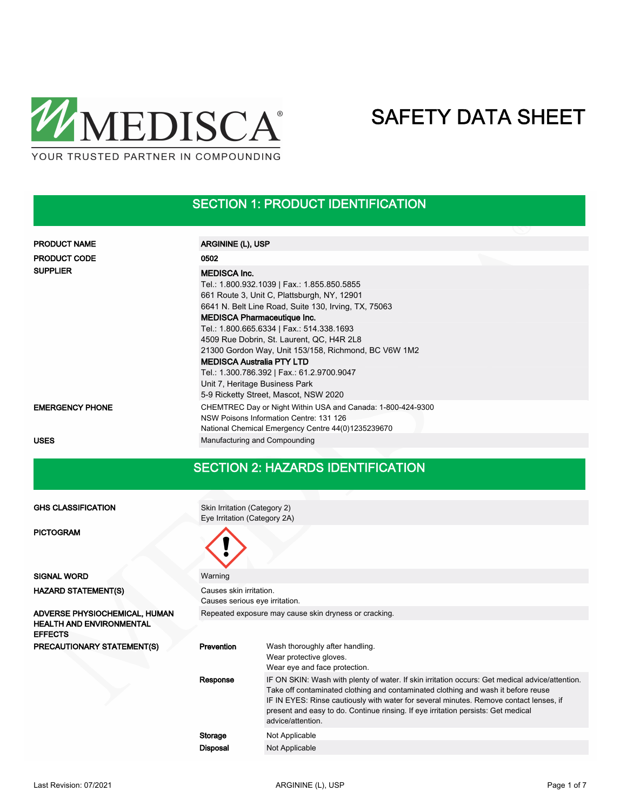

### SECTION 1: PRODUCT IDENTIFICATION

| <b>PRODUCT NAME</b>    | ARGININE (L), USP                                                                                                                                                                                                                                                                                                                                                                                                                                                                                                              |
|------------------------|--------------------------------------------------------------------------------------------------------------------------------------------------------------------------------------------------------------------------------------------------------------------------------------------------------------------------------------------------------------------------------------------------------------------------------------------------------------------------------------------------------------------------------|
| <b>PRODUCT CODE</b>    | 0502                                                                                                                                                                                                                                                                                                                                                                                                                                                                                                                           |
| <b>SUPPLIER</b>        | <b>MEDISCA Inc.</b><br>Tel.: 1.800.932.1039   Fax.: 1.855.850.5855<br>661 Route 3, Unit C, Plattsburgh, NY, 12901<br>6641 N. Belt Line Road, Suite 130, Irving, TX, 75063<br><b>MEDISCA Pharmaceutique Inc.</b><br>Tel.: 1.800.665.6334   Fax.: 514.338.1693<br>4509 Rue Dobrin, St. Laurent, QC, H4R 2L8<br>21300 Gordon Way, Unit 153/158, Richmond, BC V6W 1M2<br><b>MEDISCA Australia PTY LTD</b><br>Tel.: 1.300.786.392   Fax.: 61.2.9700.9047<br>Unit 7, Heritage Business Park<br>5-9 Ricketty Street, Mascot, NSW 2020 |
| <b>EMERGENCY PHONE</b> | CHEMTREC Day or Night Within USA and Canada: 1-800-424-9300<br>NSW Poisons Information Centre: 131 126<br>National Chemical Emergency Centre 44(0)1235239670                                                                                                                                                                                                                                                                                                                                                                   |
| <b>USES</b>            | Manufacturing and Compounding                                                                                                                                                                                                                                                                                                                                                                                                                                                                                                  |

#### SECTION 2: HAZARDS IDENTIFICATION

Skin Irritation (Category 2) Eye Irritation (Category 2A)

GHS CLASSIFICATION

PICTOGRAM

| <b>SIGNAL WORD</b>                                                                 | Warning                                                   |                                                                                                                                                                                                                                                                                                                                                                                          |  |  |  |
|------------------------------------------------------------------------------------|-----------------------------------------------------------|------------------------------------------------------------------------------------------------------------------------------------------------------------------------------------------------------------------------------------------------------------------------------------------------------------------------------------------------------------------------------------------|--|--|--|
| <b>HAZARD STATEMENT(S)</b>                                                         | Causes skin irritation.<br>Causes serious eye irritation. |                                                                                                                                                                                                                                                                                                                                                                                          |  |  |  |
| ADVERSE PHYSIOCHEMICAL, HUMAN<br><b>HEALTH AND ENVIRONMENTAL</b><br><b>EFFECTS</b> | Repeated exposure may cause skin dryness or cracking.     |                                                                                                                                                                                                                                                                                                                                                                                          |  |  |  |
| <b>PRECAUTIONARY STATEMENT(S)</b>                                                  | Prevention                                                | Wash thoroughly after handling.<br>Wear protective gloves.<br>Wear eye and face protection.                                                                                                                                                                                                                                                                                              |  |  |  |
|                                                                                    | Response                                                  | IF ON SKIN: Wash with plenty of water. If skin irritation occurs: Get medical advice/attention.<br>Take off contaminated clothing and contaminated clothing and wash it before reuse<br>IF IN EYES: Rinse cautiously with water for several minutes. Remove contact lenses, if<br>present and easy to do. Continue rinsing. If eye irritation persists: Get medical<br>advice/attention. |  |  |  |
|                                                                                    | Storage                                                   | Not Applicable                                                                                                                                                                                                                                                                                                                                                                           |  |  |  |
|                                                                                    | <b>Disposal</b>                                           | Not Applicable                                                                                                                                                                                                                                                                                                                                                                           |  |  |  |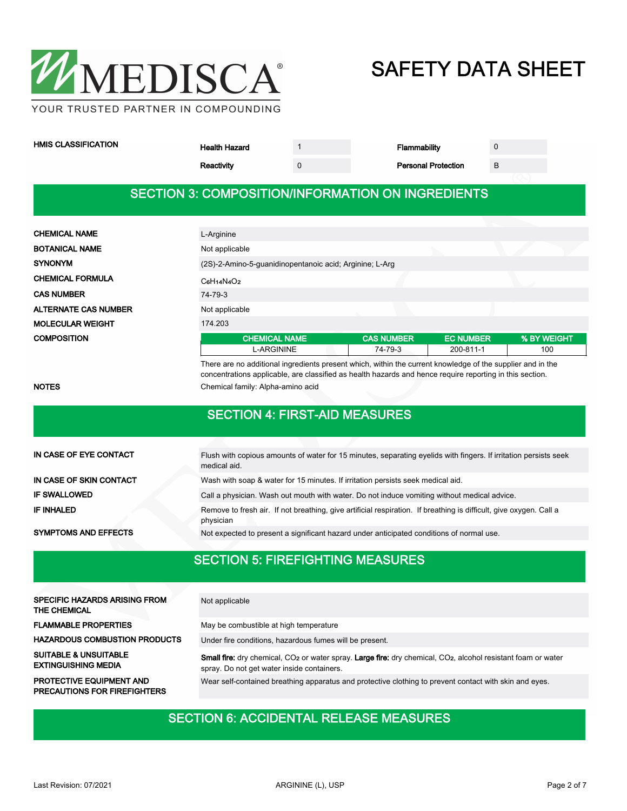

| <b>HMIS CLASSIFICATION</b> |
|----------------------------|
|----------------------------|

Health Hazard 1 1 and 1 Flammability 0

| Reactivity | <b>Personal Protection</b> |  |
|------------|----------------------------|--|

#### SECTION 3: COMPOSITION/INFORMATION ON INGREDIENTS

| <b>CHEMICAL NAME</b>        | L-Arginine                                              |                   |                  |             |  |  |  |
|-----------------------------|---------------------------------------------------------|-------------------|------------------|-------------|--|--|--|
| <b>BOTANICAL NAME</b>       | Not applicable                                          |                   |                  |             |  |  |  |
| <b>SYNONYM</b>              | (2S)-2-Amino-5-guanidinopentanoic acid; Arginine; L-Arg |                   |                  |             |  |  |  |
| <b>CHEMICAL FORMULA</b>     | $C_6H_1A_4O_2$                                          |                   |                  |             |  |  |  |
| <b>CAS NUMBER</b>           | 74-79-3                                                 |                   |                  |             |  |  |  |
| <b>ALTERNATE CAS NUMBER</b> | Not applicable                                          |                   |                  |             |  |  |  |
| <b>MOLECULAR WEIGHT</b>     | 174.203                                                 |                   |                  |             |  |  |  |
| <b>COMPOSITION</b>          | <b>CHEMICAL NAME</b>                                    | <b>CAS NUMBER</b> | <b>EC NUMBER</b> | % BY WEIGHT |  |  |  |
|                             | L-ARGININE                                              | 74-79-3           | 200-811-1        | 100         |  |  |  |

There are no additional ingredients present which, within the current knowledge of the supplier and in the concentrations applicable, are classified as health hazards and hence require reporting in this section. NOTES **NOTES** Chemical family: Alpha-amino acid

|                             | <b>SECTION 4: FIRST-AID MEASURES</b>                                                                                             |
|-----------------------------|----------------------------------------------------------------------------------------------------------------------------------|
|                             |                                                                                                                                  |
| IN CASE OF EYE CONTACT      | Flush with copious amounts of water for 15 minutes, separating eyelids with fingers. If irritation persists seek<br>medical aid. |
| IN CASE OF SKIN CONTACT     | Wash with soap & water for 15 minutes. If irritation persists seek medical aid.                                                  |
| <b>IF SWALLOWED</b>         | Call a physician. Wash out mouth with water. Do not induce vomiting without medical advice.                                      |
| <b>IF INHALED</b>           | Remove to fresh air. If not breathing, give artificial respiration. If breathing is difficult, give oxygen. Call a<br>physician  |
| <b>SYMPTOMS AND EFFECTS</b> | Not expected to present a significant hazard under anticipated conditions of normal use.                                         |
|                             |                                                                                                                                  |

### SECTION 5: FIREFIGHTING MEASURES

| <b>SPECIFIC HAZARDS ARISING FROM</b><br><b>THE CHEMICAL</b>            | Not applicable                                                                                                                                                                      |
|------------------------------------------------------------------------|-------------------------------------------------------------------------------------------------------------------------------------------------------------------------------------|
| <b>FLAMMABLE PROPERTIES</b>                                            | May be combustible at high temperature                                                                                                                                              |
| <b>HAZARDOUS COMBUSTION PRODUCTS</b>                                   | Under fire conditions, hazardous fumes will be present.                                                                                                                             |
| <b>SUITABLE &amp; UNSUITABLE</b><br><b>EXTINGUISHING MEDIA</b>         | Small fire: dry chemical, CO <sub>2</sub> or water spray. Large fire: dry chemical, CO <sub>2</sub> , alcohol resistant foam or water<br>spray. Do not get water inside containers. |
| <b>PROTECTIVE EQUIPMENT AND</b><br><b>PRECAUTIONS FOR FIREFIGHTERS</b> | Wear self-contained breathing apparatus and protective clothing to prevent contact with skin and eyes.                                                                              |

#### SECTION 6: ACCIDENTAL RELEASE MEASURES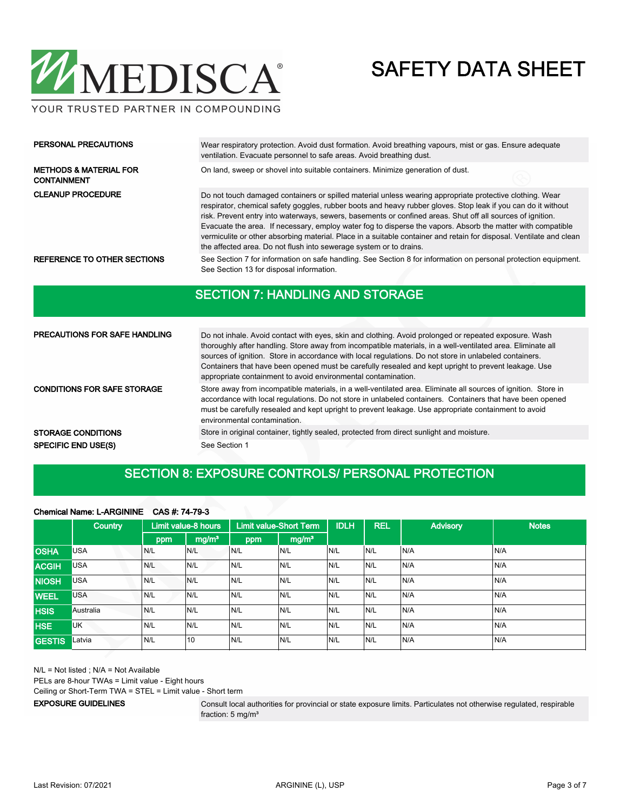

Wear respiratory protection. Avoid dust formation. Avoid breathing vapours, mist or gas. Ensure adequate ventilation. Evacuate personnel to safe areas. Avoid breathing dust. PERSONAL PRECAUTIONS METHODS & MATERIAL FOR **On land, sweep or shovel into suitable containers**. Minimize generation of dust. CONTAINMENT Do not touch damaged containers or spilled material unless wearing appropriate protective clothing. Wear respirator, chemical safety goggles, rubber boots and heavy rubber gloves. Stop leak if you can do it without risk. Prevent entry into waterways, sewers, basements or confined areas. Shut off all sources of ignition. Evacuate the area. If necessary, employ water fog to disperse the vapors. Absorb the matter with compatible vermiculite or other absorbing material. Place in a suitable container and retain for disposal. Ventilate and clean the affected area. Do not flush into sewerage system or to drains. CLEANUP PROCEDURE REFERENCE TO OTHER SECTIONS See Section 7 for information on safe handling. See Section 8 for information on personal protection equipment. See Section 13 for disposal information.

#### SECTION 7: HANDLING AND STORAGE

| <b>PRECAUTIONS FOR SAFE HANDLING</b> | Do not inhale. Avoid contact with eyes, skin and clothing. Avoid prolonged or repeated exposure. Wash<br>thoroughly after handling. Store away from incompatible materials, in a well-ventilated area. Eliminate all<br>sources of ignition. Store in accordance with local regulations. Do not store in unlabeled containers.<br>Containers that have been opened must be carefully resealed and kept upright to prevent leakage. Use<br>appropriate containment to avoid environmental contamination. |
|--------------------------------------|---------------------------------------------------------------------------------------------------------------------------------------------------------------------------------------------------------------------------------------------------------------------------------------------------------------------------------------------------------------------------------------------------------------------------------------------------------------------------------------------------------|
| <b>CONDITIONS FOR SAFE STORAGE</b>   | Store away from incompatible materials, in a well-ventilated area. Eliminate all sources of ignition. Store in<br>accordance with local regulations. Do not store in unlabeled containers. Containers that have been opened<br>must be carefully resealed and kept upright to prevent leakage. Use appropriate containment to avoid<br>environmental contamination.                                                                                                                                     |
| <b>STORAGE CONDITIONS</b>            | Store in original container, tightly sealed, protected from direct sunlight and moisture.                                                                                                                                                                                                                                                                                                                                                                                                               |
| <b>SPECIFIC END USE(S)</b>           | See Section 1                                                                                                                                                                                                                                                                                                                                                                                                                                                                                           |

#### SECTION 8: EXPOSURE CONTROLS/ PERSONAL PROTECTION

#### Chemical Name: L-ARGININE CAS #: 74-79-3

|               | <b>Country</b> |     | Limit value-8 hours |     | <b>Limit value-Short Term</b> | <b>IDLH</b> | <b>REL</b> | <b>Advisory</b> | <b>Notes</b> |
|---------------|----------------|-----|---------------------|-----|-------------------------------|-------------|------------|-----------------|--------------|
|               |                | ppm | mg/m <sup>3</sup>   | ppm | mg/m <sup>3</sup>             |             |            |                 |              |
| <b>OSHA</b>   | <b>USA</b>     | N/L | IN/L                | N/L | IN/L                          | N/L         | IN/L       | N/A             | N/A          |
| <b>ACGIH</b>  | <b>USA</b>     | N/L | N/L                 | N/L | N/L                           | N/L         | IN/L       | N/A             | N/A          |
| <b>NIOSH</b>  | <b>USA</b>     | N/L | N/L                 | N/L | N/L                           | N/L         | N/L        | N/A             | N/A          |
| <b>WEEL</b>   | <b>USA</b>     | N/L | IN/L                | N/L | N/L                           | N/L         | IN/L       | N/A             | N/A          |
| <b>HSIS</b>   | Australia      | N/L | IN/L                | N/L | N/L                           | N/L         | IN/L       | N/A             | N/A          |
| <b>HSE</b>    | UK             | N/L | N/L                 | N/L | N/L                           | N/L         | N/L        | N/A             | N/A          |
| <b>GESTIS</b> | Latvia         | N/L | 10                  | N/L | N/L                           | N/L         | IN/L       | N/A             | N/A          |

N/L = Not listed ; N/A = Not Available

PELs are 8-hour TWAs = Limit value - Eight hours

Ceiling or Short-Term TWA = STEL = Limit value - Short term

EXPOSURE GUIDELINES

Consult local authorities for provincial or state exposure limits. Particulates not otherwise regulated, respirable fraction: 5 mg/m<sup>3</sup>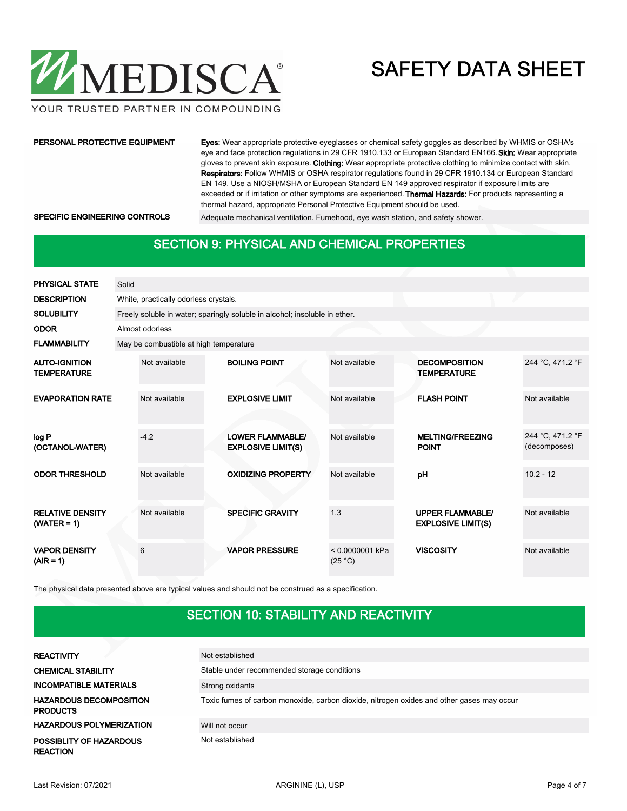

YOUR TRUSTED PARTNER IN COMPOUNDING

#### PERSONAL PROTECTIVE EQUIPMENT

Eyes: Wear appropriate protective eyeglasses or chemical safety goggles as described by WHMIS or OSHA's eye and face protection regulations in 29 CFR 1910.133 or European Standard EN166. Skin: Wear appropriate gloves to prevent skin exposure. Clothing: Wear appropriate protective clothing to minimize contact with skin. Respirators: Follow WHMIS or OSHA respirator regulations found in 29 CFR 1910.134 or European Standard EN 149. Use a NIOSH/MSHA or European Standard EN 149 approved respirator if exposure limits are exceeded or if irritation or other symptoms are experienced. Thermal Hazards: For products representing a thermal hazard, appropriate Personal Protective Equipment should be used.

SPECIFIC ENGINEERING CONTROLS Adequate mechanical ventilation. Fumehood, eye wash station, and safety shower.

#### SECTION 9: PHYSICAL AND CHEMICAL PROPERTIES

| PHYSICAL STATE                             | Solid |                                        |                                                                            |                              |                                                      |                                  |
|--------------------------------------------|-------|----------------------------------------|----------------------------------------------------------------------------|------------------------------|------------------------------------------------------|----------------------------------|
| <b>DESCRIPTION</b>                         |       | White, practically odorless crystals.  |                                                                            |                              |                                                      |                                  |
| <b>SOLUBILITY</b>                          |       |                                        | Freely soluble in water; sparingly soluble in alcohol; insoluble in ether. |                              |                                                      |                                  |
| <b>ODOR</b>                                |       | Almost odorless                        |                                                                            |                              |                                                      |                                  |
| <b>FLAMMABILITY</b>                        |       | May be combustible at high temperature |                                                                            |                              |                                                      |                                  |
| <b>AUTO-IGNITION</b><br><b>TEMPERATURE</b> |       | Not available                          | <b>BOILING POINT</b>                                                       | Not available                | <b>DECOMPOSITION</b><br><b>TEMPERATURE</b>           | 244 °C, 471.2 °F                 |
| <b>EVAPORATION RATE</b>                    |       | Not available                          | <b>EXPLOSIVE LIMIT</b>                                                     | Not available                | <b>FLASH POINT</b>                                   | Not available                    |
| log P<br>(OCTANOL-WATER)                   |       | $-4.2$                                 | <b>LOWER FLAMMABLE/</b><br><b>EXPLOSIVE LIMIT(S)</b>                       | Not available                | <b>MELTING/FREEZING</b><br><b>POINT</b>              | 244 °C, 471.2 °F<br>(decomposes) |
| <b>ODOR THRESHOLD</b>                      |       | Not available                          | <b>OXIDIZING PROPERTY</b>                                                  | Not available                | pH                                                   | $10.2 - 12$                      |
| <b>RELATIVE DENSITY</b><br>$(WATER = 1)$   |       | Not available                          | <b>SPECIFIC GRAVITY</b>                                                    | 1.3                          | <b>UPPER FLAMMABLE/</b><br><b>EXPLOSIVE LIMIT(S)</b> | Not available                    |
| <b>VAPOR DENSITY</b><br>$(AIR = 1)$        |       | 6                                      | <b>VAPOR PRESSURE</b>                                                      | $< 0.0000001$ kPa<br>(25 °C) | <b>VISCOSITY</b>                                     | Not available                    |

The physical data presented above are typical values and should not be construed as a specification.

### SECTION 10: STABILITY AND REACTIVITY

| <b>REACTIVITY</b>                                 | Not established                                                                           |
|---------------------------------------------------|-------------------------------------------------------------------------------------------|
| <b>CHEMICAL STABILITY</b>                         | Stable under recommended storage conditions                                               |
| <b>INCOMPATIBLE MATERIALS</b>                     | Strong oxidants                                                                           |
| <b>HAZARDOUS DECOMPOSITION</b><br><b>PRODUCTS</b> | Toxic fumes of carbon monoxide, carbon dioxide, nitrogen oxides and other gases may occur |
| <b>HAZARDOUS POLYMERIZATION</b>                   | Will not occur                                                                            |
| POSSIBLITY OF HAZARDOUS<br><b>REACTION</b>        | Not established                                                                           |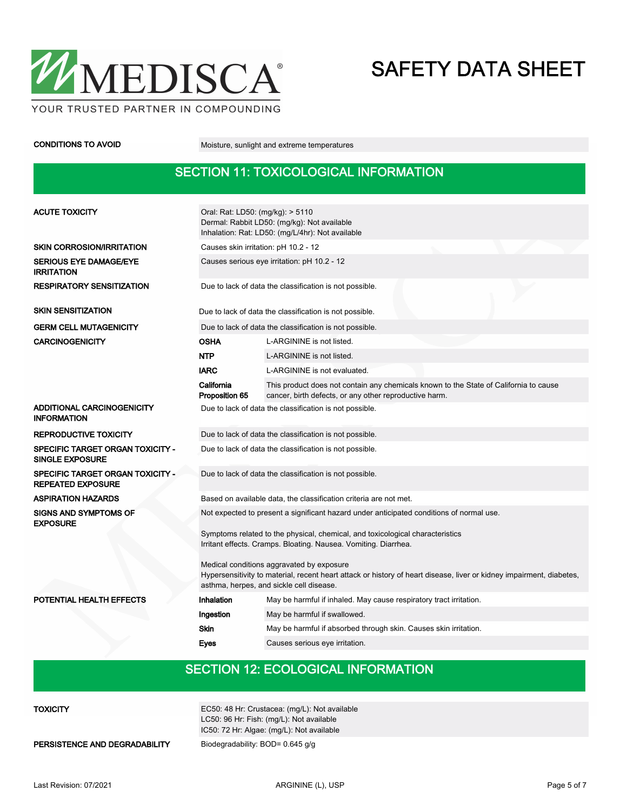

CONDITIONS TO AVOID Moisture, sunlight and extreme temperatures

### SECTION 11: TOXICOLOGICAL INFORMATION

| <b>ACUTE TOXICITY</b>                                                                                                                                                                                         | Oral: Rat: LD50: (mg/kg): > 5110<br>Dermal: Rabbit LD50: (mg/kg): Not available<br>Inhalation: Rat: LD50: (mg/L/4hr): Not available              |                                                                                                                                                 |  |  |  |  |  |
|---------------------------------------------------------------------------------------------------------------------------------------------------------------------------------------------------------------|--------------------------------------------------------------------------------------------------------------------------------------------------|-------------------------------------------------------------------------------------------------------------------------------------------------|--|--|--|--|--|
| <b>SKIN CORROSION/IRRITATION</b>                                                                                                                                                                              | Causes skin irritation: pH 10.2 - 12                                                                                                             |                                                                                                                                                 |  |  |  |  |  |
| <b>SERIOUS EYE DAMAGE/EYE</b><br><b>IRRITATION</b>                                                                                                                                                            | Causes serious eye irritation: pH 10.2 - 12                                                                                                      |                                                                                                                                                 |  |  |  |  |  |
| <b>RESPIRATORY SENSITIZATION</b>                                                                                                                                                                              | Due to lack of data the classification is not possible.                                                                                          |                                                                                                                                                 |  |  |  |  |  |
| <b>SKIN SENSITIZATION</b>                                                                                                                                                                                     |                                                                                                                                                  | Due to lack of data the classification is not possible.                                                                                         |  |  |  |  |  |
| <b>GERM CELL MUTAGENICITY</b>                                                                                                                                                                                 |                                                                                                                                                  | Due to lack of data the classification is not possible.                                                                                         |  |  |  |  |  |
| <b>CARCINOGENICITY</b>                                                                                                                                                                                        | <b>OSHA</b>                                                                                                                                      | L-ARGININE is not listed.                                                                                                                       |  |  |  |  |  |
|                                                                                                                                                                                                               | <b>NTP</b>                                                                                                                                       | L-ARGININE is not listed.                                                                                                                       |  |  |  |  |  |
|                                                                                                                                                                                                               | <b>IARC</b>                                                                                                                                      | L-ARGININE is not evaluated.                                                                                                                    |  |  |  |  |  |
|                                                                                                                                                                                                               | California<br>Proposition 65                                                                                                                     | This product does not contain any chemicals known to the State of California to cause<br>cancer, birth defects, or any other reproductive harm. |  |  |  |  |  |
| ADDITIONAL CARCINOGENICITY<br><b>INFORMATION</b>                                                                                                                                                              | Due to lack of data the classification is not possible.                                                                                          |                                                                                                                                                 |  |  |  |  |  |
| <b>REPRODUCTIVE TOXICITY</b>                                                                                                                                                                                  | Due to lack of data the classification is not possible.                                                                                          |                                                                                                                                                 |  |  |  |  |  |
| <b>SPECIFIC TARGET ORGAN TOXICITY -</b><br><b>SINGLE EXPOSURE</b>                                                                                                                                             | Due to lack of data the classification is not possible.                                                                                          |                                                                                                                                                 |  |  |  |  |  |
| <b>SPECIFIC TARGET ORGAN TOXICITY -</b><br><b>REPEATED EXPOSURE</b>                                                                                                                                           | Due to lack of data the classification is not possible.                                                                                          |                                                                                                                                                 |  |  |  |  |  |
| <b>ASPIRATION HAZARDS</b>                                                                                                                                                                                     | Based on available data, the classification criteria are not met.                                                                                |                                                                                                                                                 |  |  |  |  |  |
| <b>SIGNS AND SYMPTOMS OF</b><br><b>EXPOSURE</b>                                                                                                                                                               |                                                                                                                                                  | Not expected to present a significant hazard under anticipated conditions of normal use.                                                        |  |  |  |  |  |
|                                                                                                                                                                                                               | Symptoms related to the physical, chemical, and toxicological characteristics<br>Irritant effects. Cramps. Bloating. Nausea. Vomiting. Diarrhea. |                                                                                                                                                 |  |  |  |  |  |
| Medical conditions aggravated by exposure<br>Hypersensitivity to material, recent heart attack or history of heart disease, liver or kidney impairment, diabetes,<br>asthma, herpes, and sickle cell disease. |                                                                                                                                                  |                                                                                                                                                 |  |  |  |  |  |
| POTENTIAL HEALTH EFFECTS                                                                                                                                                                                      | Inhalation                                                                                                                                       | May be harmful if inhaled. May cause respiratory tract irritation.                                                                              |  |  |  |  |  |
|                                                                                                                                                                                                               | Ingestion                                                                                                                                        | May be harmful if swallowed.                                                                                                                    |  |  |  |  |  |
|                                                                                                                                                                                                               | Skin                                                                                                                                             | May be harmful if absorbed through skin. Causes skin irritation.                                                                                |  |  |  |  |  |
|                                                                                                                                                                                                               | <b>Eves</b>                                                                                                                                      | Causes serious eye irritation.                                                                                                                  |  |  |  |  |  |

### SECTION 12: ECOLOGICAL INFORMATION

| <b>TOXICITY</b>               | EC50: 48 Hr: Crustacea: (mg/L): Not available<br>LC50: 96 Hr: Fish: (mg/L): Not available<br>IC50: 72 Hr: Algae: (mg/L): Not available |
|-------------------------------|----------------------------------------------------------------------------------------------------------------------------------------|
| PERSISTENCE AND DEGRADABILITY | Biodegradability: BOD= 0.645 g/g                                                                                                       |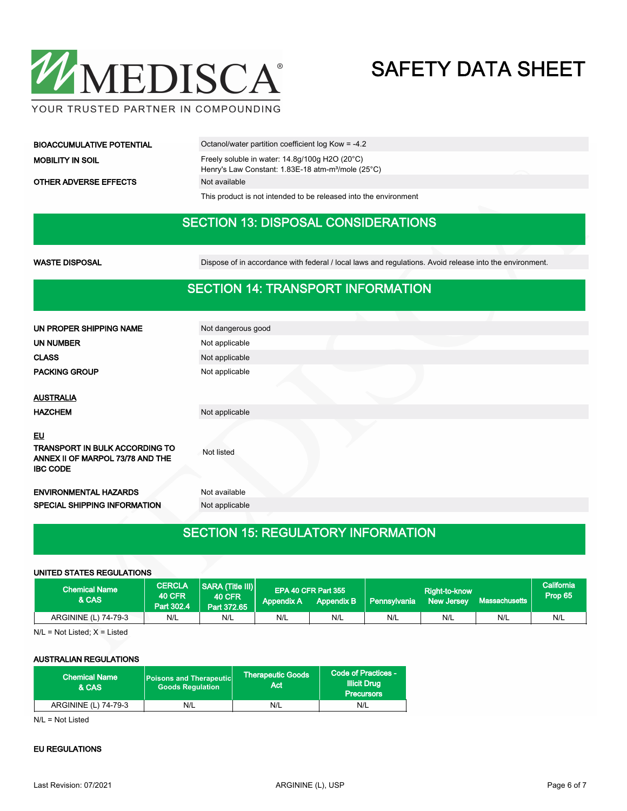

| <b>BIOACCUMULATIVE POTENTIAL</b> | Octanol/water partition coefficient log Kow = -4.2                                                                            |  |  |  |
|----------------------------------|-------------------------------------------------------------------------------------------------------------------------------|--|--|--|
| <b>MOBILITY IN SOIL</b>          | Freely soluble in water: $14.8g/100g$ H2O (20 $^{\circ}$ C)<br>Henry's Law Constant: 1.83E-18 atm-m <sup>3</sup> /mole (25°C) |  |  |  |
| <b>OTHER ADVERSE EFFECTS</b>     | Not available                                                                                                                 |  |  |  |

This product is not intended to be released into the environment

#### SECTION 13: DISPOSAL CONSIDERATIONS

WASTE DISPOSAL **Dispose of in accordance with federal** / local laws and regulations. Avoid release into the environment.

#### SECTION 14: TRANSPORT INFORMATION

| UN PROPER SHIPPING NAME                                                                      | Not dangerous good |
|----------------------------------------------------------------------------------------------|--------------------|
| <b>UN NUMBER</b>                                                                             | Not applicable     |
| <b>CLASS</b>                                                                                 | Not applicable     |
| <b>PACKING GROUP</b>                                                                         | Not applicable     |
|                                                                                              |                    |
| <b>AUSTRALIA</b>                                                                             |                    |
| <b>HAZCHEM</b>                                                                               | Not applicable     |
| <b>EU</b>                                                                                    |                    |
| <b>TRANSPORT IN BULK ACCORDING TO</b><br>ANNEX II OF MARPOL 73/78 AND THE<br><b>IBC CODE</b> | Not listed         |
| <b>ENVIRONMENTAL HAZARDS</b>                                                                 | Not available      |
| <b>SPECIAL SHIPPING INFORMATION</b>                                                          | Not applicable     |
|                                                                                              |                    |

### SECTION 15: REGULATORY INFORMATION

#### UNITED STATES REGULATIONS

| <b>Chemical Name</b><br>& CAS | <b>CERCLA</b><br><b>40 CFR</b><br>Part 302.4 | <b>SARA (Title III)</b><br>40 CFR<br>Part 372.65 | <b>Appendix A</b> | EPA 40 CFR Part 355<br><b>Appendix B</b> | <b>Pennsylvania</b> | Right-to-know<br>New Jersey | Massachusetts | California<br>Prop 65 |
|-------------------------------|----------------------------------------------|--------------------------------------------------|-------------------|------------------------------------------|---------------------|-----------------------------|---------------|-----------------------|
| ARGININE (L) 74-79-3          | N/L                                          | N/L                                              | N/L               | N/L                                      | N/L                 | N/L                         | N/L           | N/L                   |

 $N/L$  = Not Listed;  $X$  = Listed

#### AUSTRALIAN REGULATIONS

| <b>Goods Requlation</b> | Therapeutic Goods <sup>'</sup><br>'Act. | Code of Practices -<br><b>Illicit Drug</b><br><b>Precursors</b> |
|-------------------------|-----------------------------------------|-----------------------------------------------------------------|
| N/L                     | N/L                                     | N/L                                                             |
|                         |                                         | Poisons and Therapeutic                                         |

N/L = Not Listed

#### EU REGULATIONS